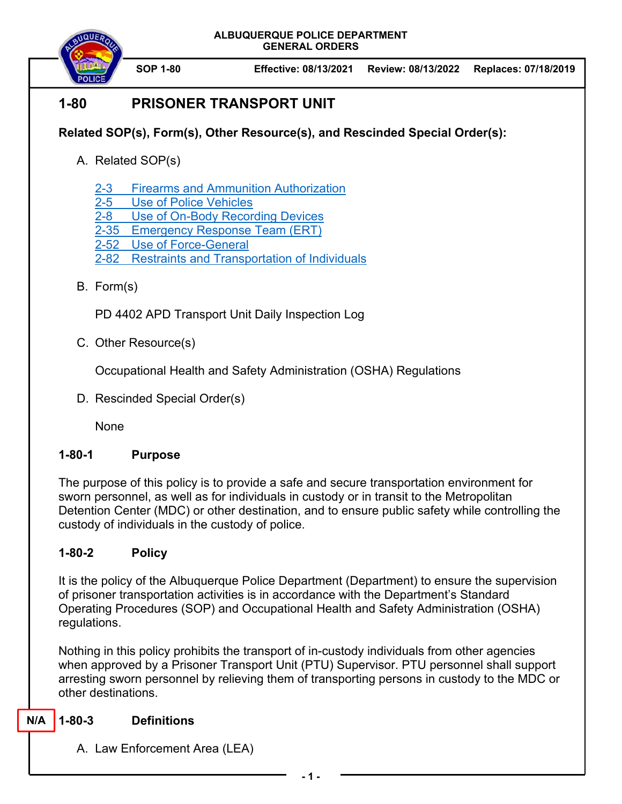

 **SOP 1-80 Effective: 08/13/2021 Review: 08/13/2022 Replaces: 07/18/2019**

# **1-80 PRISONER TRANSPORT UNIT**

# **Related SOP(s), Form(s), Other Resource(s), and Rescinded Special Order(s):**

- A. Related SOP(s)
	- 2-3 Firearms and Ammunition Authorization
	- 2-5 Use of Police Vehicles
	- 2-8 Use of On-Body Recording Devices
	- 2-35 Emergency Response Team (ERT)
	- 2-52 Use of Force-General
	- 2-82 Restraints and Transportation of Individuals
- B. Form(s)

PD 4402 APD Transport Unit Daily Inspection Log

C. Other Resource(s)

Occupational Health and Safety Administration (OSHA) Regulations

D. Rescinded Special Order(s)

None

## **1-80-1 Purpose**

The purpose of this policy is to provide a safe and secure transportation environment for sworn personnel, as well as for individuals in custody or in transit to the Metropolitan Detention Center (MDC) or other destination, and to ensure public safety while controlling the custody of individuals in the custody of police.

# **1-80-2 Policy**

It is the policy of the Albuquerque Police Department (Department) to ensure the supervision of prisoner transportation activities is in accordance with the Department's Standard Operating Procedures (SOP) and Occupational Health and Safety Administration (OSHA) regulations.

Nothing in this policy prohibits the transport of in-custody individuals from other agencies when approved by a Prisoner Transport Unit (PTU) Supervisor. PTU personnel shall support arresting sworn personnel by relieving them of transporting persons in custody to the MDC or other destinations.

#### **1-80-3 Definitions N/A**

A. Law Enforcement Area (LEA)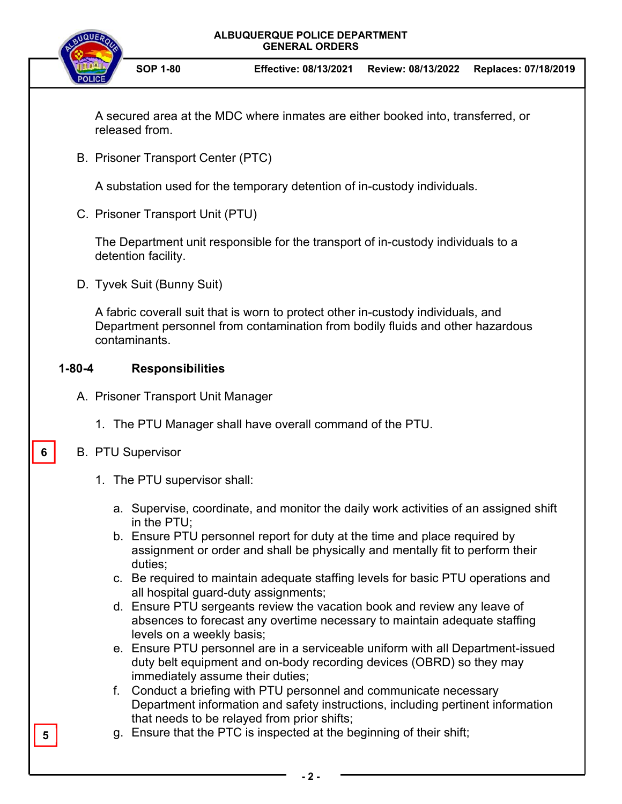

 **SOP 1-80 Effective: 08/13/2021 Review: 08/13/2022 Replaces: 07/18/2019**

A secured area at the MDC where inmates are either booked into, transferred, or released from.

B. Prisoner Transport Center (PTC)

A substation used for the temporary detention of in-custody individuals.

C. Prisoner Transport Unit (PTU)

The Department unit responsible for the transport of in-custody individuals to a detention facility.

D. Tyvek Suit (Bunny Suit)

A fabric coverall suit that is worn to protect other in-custody individuals, and Department personnel from contamination from bodily fluids and other hazardous contaminants.

## **1-80-4 Responsibilities**

- A. Prisoner Transport Unit Manager
	- 1. The PTU Manager shall have overall command of the PTU.

## B. PTU Supervisor

**6** 

**5** 

- 1. The PTU supervisor shall:
	- a. Supervise, coordinate, and monitor the daily work activities of an assigned shift in the PTU;
	- b. Ensure PTU personnel report for duty at the time and place required by assignment or order and shall be physically and mentally fit to perform their duties;
	- c. Be required to maintain adequate staffing levels for basic PTU operations and all hospital guard-duty assignments;
	- d. Ensure PTU sergeants review the vacation book and review any leave of absences to forecast any overtime necessary to maintain adequate staffing levels on a weekly basis;
	- e. Ensure PTU personnel are in a serviceable uniform with all Department-issued duty belt equipment and on-body recording devices (OBRD) so they may immediately assume their duties;
	- f. Conduct a briefing with PTU personnel and communicate necessary Department information and safety instructions, including pertinent information that needs to be relayed from prior shifts;
	- g. Ensure that the PTC is inspected at the beginning of their shift;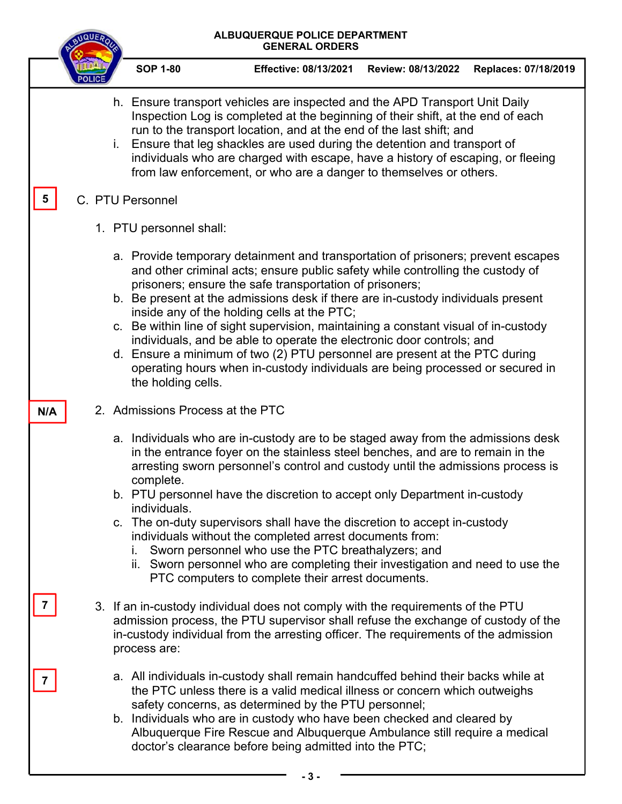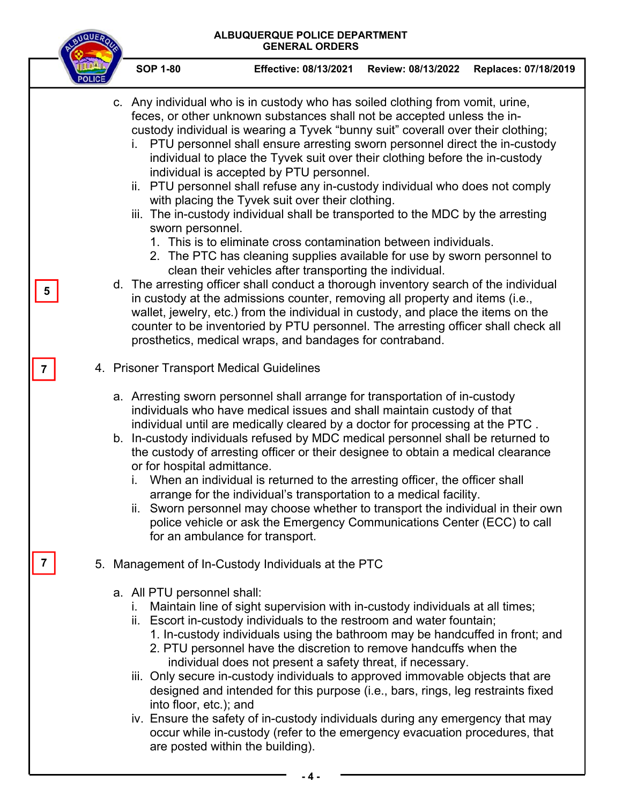

**- 4 -**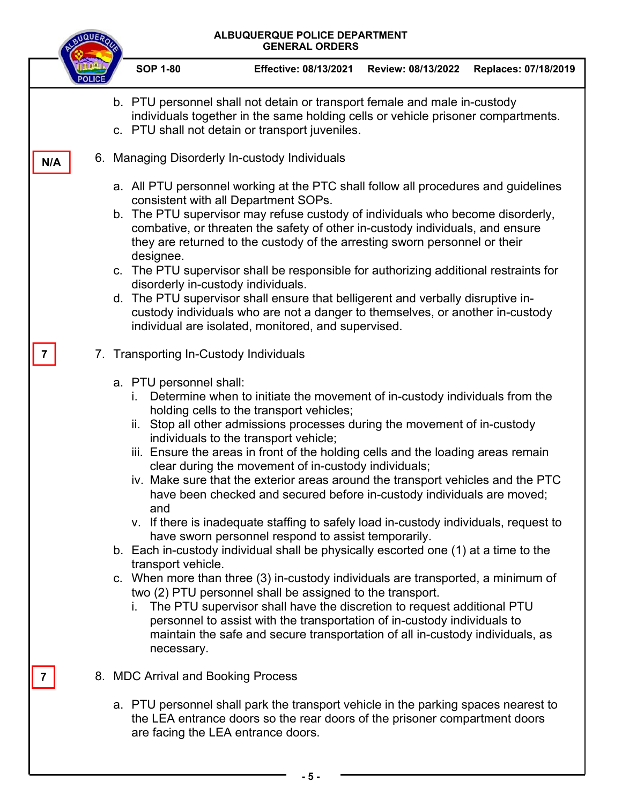|     | ALBUQUERQUE POLICE DEPARTMENT<br><b>GENERAL ORDERS</b> |                                                                                                                                                                                                                  |                                                                                                                                                                                                                                                                                                                                                                                                                                                                                                                                                                                                                                                                                                                                                                                                                                                                                                                                                                                                                                                                                                                                                                                    |                    |                      |  |  |  |  |
|-----|--------------------------------------------------------|------------------------------------------------------------------------------------------------------------------------------------------------------------------------------------------------------------------|------------------------------------------------------------------------------------------------------------------------------------------------------------------------------------------------------------------------------------------------------------------------------------------------------------------------------------------------------------------------------------------------------------------------------------------------------------------------------------------------------------------------------------------------------------------------------------------------------------------------------------------------------------------------------------------------------------------------------------------------------------------------------------------------------------------------------------------------------------------------------------------------------------------------------------------------------------------------------------------------------------------------------------------------------------------------------------------------------------------------------------------------------------------------------------|--------------------|----------------------|--|--|--|--|
|     |                                                        | <b>SOP 1-80</b>                                                                                                                                                                                                  | <b>Effective: 08/13/2021</b>                                                                                                                                                                                                                                                                                                                                                                                                                                                                                                                                                                                                                                                                                                                                                                                                                                                                                                                                                                                                                                                                                                                                                       | Review: 08/13/2022 | Replaces: 07/18/2019 |  |  |  |  |
|     |                                                        | b. PTU personnel shall not detain or transport female and male in-custody<br>individuals together in the same holding cells or vehicle prisoner compartments.<br>c. PTU shall not detain or transport juveniles. |                                                                                                                                                                                                                                                                                                                                                                                                                                                                                                                                                                                                                                                                                                                                                                                                                                                                                                                                                                                                                                                                                                                                                                                    |                    |                      |  |  |  |  |
| N/A |                                                        | 6. Managing Disorderly In-custody Individuals                                                                                                                                                                    |                                                                                                                                                                                                                                                                                                                                                                                                                                                                                                                                                                                                                                                                                                                                                                                                                                                                                                                                                                                                                                                                                                                                                                                    |                    |                      |  |  |  |  |
|     |                                                        | designee.<br>disorderly in-custody individuals.                                                                                                                                                                  | a. All PTU personnel working at the PTC shall follow all procedures and guidelines<br>consistent with all Department SOPs.<br>b. The PTU supervisor may refuse custody of individuals who become disorderly,<br>combative, or threaten the safety of other in-custody individuals, and ensure<br>they are returned to the custody of the arresting sworn personnel or their<br>c. The PTU supervisor shall be responsible for authorizing additional restraints for<br>d. The PTU supervisor shall ensure that belligerent and verbally disruptive in-<br>custody individuals who are not a danger to themselves, or another in-custody<br>individual are isolated, monitored, and supervised.                                                                                                                                                                                                                                                                                                                                                                                                                                                                                     |                    |                      |  |  |  |  |
|     |                                                        | 7. Transporting In-Custody Individuals<br>a. PTU personnel shall:<br>L.<br>İİ.<br>and<br>transport vehicle.<br>necessary.                                                                                        | Determine when to initiate the movement of in-custody individuals from the<br>holding cells to the transport vehicles;<br>Stop all other admissions processes during the movement of in-custody<br>individuals to the transport vehicle;<br>iii. Ensure the areas in front of the holding cells and the loading areas remain<br>clear during the movement of in-custody individuals;<br>iv. Make sure that the exterior areas around the transport vehicles and the PTC<br>have been checked and secured before in-custody individuals are moved;<br>v. If there is inadequate staffing to safely load in-custody individuals, request to<br>have sworn personnel respond to assist temporarily.<br>b. Each in-custody individual shall be physically escorted one (1) at a time to the<br>c. When more than three (3) in-custody individuals are transported, a minimum of<br>two (2) PTU personnel shall be assigned to the transport.<br>i. The PTU supervisor shall have the discretion to request additional PTU<br>personnel to assist with the transportation of in-custody individuals to<br>maintain the safe and secure transportation of all in-custody individuals, as |                    |                      |  |  |  |  |
| 7   |                                                        | 8. MDC Arrival and Booking Process                                                                                                                                                                               | a. PTU personnel shall park the transport vehicle in the parking spaces nearest to<br>the LEA entrance doors so the rear doors of the prisoner compartment doors<br>are facing the LEA entrance doors.                                                                                                                                                                                                                                                                                                                                                                                                                                                                                                                                                                                                                                                                                                                                                                                                                                                                                                                                                                             |                    |                      |  |  |  |  |

**- 5 -**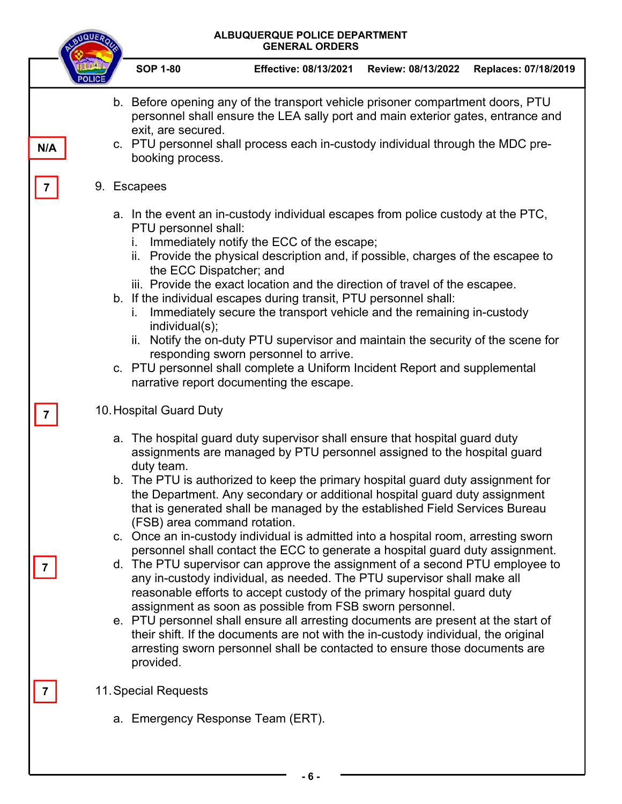|     | ALBUQUERQUE POLICE DEPARTMENT<br><b>NQUE</b><br><b>GENERAL ORDERS</b> |                                                                                                                                                                                                                                                                                                                                                                                                                                                                                                                                                                                                                                                                                                                                                                                                                                                                                                                                                                                                                                                                                                                                                                                                     |                                                                                                                                                                                                                                                                                                                                                                                                                                                                                                                                                                                                                                                                                                                                                                            |                    |                      |  |  |  |  |  |
|-----|-----------------------------------------------------------------------|-----------------------------------------------------------------------------------------------------------------------------------------------------------------------------------------------------------------------------------------------------------------------------------------------------------------------------------------------------------------------------------------------------------------------------------------------------------------------------------------------------------------------------------------------------------------------------------------------------------------------------------------------------------------------------------------------------------------------------------------------------------------------------------------------------------------------------------------------------------------------------------------------------------------------------------------------------------------------------------------------------------------------------------------------------------------------------------------------------------------------------------------------------------------------------------------------------|----------------------------------------------------------------------------------------------------------------------------------------------------------------------------------------------------------------------------------------------------------------------------------------------------------------------------------------------------------------------------------------------------------------------------------------------------------------------------------------------------------------------------------------------------------------------------------------------------------------------------------------------------------------------------------------------------------------------------------------------------------------------------|--------------------|----------------------|--|--|--|--|--|
|     |                                                                       | <b>SOP 1-80</b>                                                                                                                                                                                                                                                                                                                                                                                                                                                                                                                                                                                                                                                                                                                                                                                                                                                                                                                                                                                                                                                                                                                                                                                     | <b>Effective: 08/13/2021</b>                                                                                                                                                                                                                                                                                                                                                                                                                                                                                                                                                                                                                                                                                                                                               | Review: 08/13/2022 | Replaces: 07/18/2019 |  |  |  |  |  |
| N/A |                                                                       |                                                                                                                                                                                                                                                                                                                                                                                                                                                                                                                                                                                                                                                                                                                                                                                                                                                                                                                                                                                                                                                                                                                                                                                                     | b. Before opening any of the transport vehicle prisoner compartment doors, PTU<br>personnel shall ensure the LEA sally port and main exterior gates, entrance and<br>exit, are secured.<br>c. PTU personnel shall process each in-custody individual through the MDC pre-<br>booking process.                                                                                                                                                                                                                                                                                                                                                                                                                                                                              |                    |                      |  |  |  |  |  |
|     |                                                                       | 9. Escapees                                                                                                                                                                                                                                                                                                                                                                                                                                                                                                                                                                                                                                                                                                                                                                                                                                                                                                                                                                                                                                                                                                                                                                                         |                                                                                                                                                                                                                                                                                                                                                                                                                                                                                                                                                                                                                                                                                                                                                                            |                    |                      |  |  |  |  |  |
|     |                                                                       | İ.<br>İ.                                                                                                                                                                                                                                                                                                                                                                                                                                                                                                                                                                                                                                                                                                                                                                                                                                                                                                                                                                                                                                                                                                                                                                                            | a. In the event an in-custody individual escapes from police custody at the PTC,<br>PTU personnel shall:<br>Immediately notify the ECC of the escape;<br>ii. Provide the physical description and, if possible, charges of the escapee to<br>the ECC Dispatcher; and<br>iii. Provide the exact location and the direction of travel of the escapee.<br>b. If the individual escapes during transit, PTU personnel shall:<br>Immediately secure the transport vehicle and the remaining in-custody<br>individual(s);<br>ii. Notify the on-duty PTU supervisor and maintain the security of the scene for<br>responding sworn personnel to arrive.<br>c. PTU personnel shall complete a Uniform Incident Report and supplemental<br>narrative report documenting the escape. |                    |                      |  |  |  |  |  |
|     |                                                                       |                                                                                                                                                                                                                                                                                                                                                                                                                                                                                                                                                                                                                                                                                                                                                                                                                                                                                                                                                                                                                                                                                                                                                                                                     | 10. Hospital Guard Duty                                                                                                                                                                                                                                                                                                                                                                                                                                                                                                                                                                                                                                                                                                                                                    |                    |                      |  |  |  |  |  |
|     |                                                                       | a. The hospital guard duty supervisor shall ensure that hospital guard duty<br>assignments are managed by PTU personnel assigned to the hospital guard<br>duty team.<br>b. The PTU is authorized to keep the primary hospital guard duty assignment for<br>the Department. Any secondary or additional hospital guard duty assignment<br>that is generated shall be managed by the established Field Services Bureau<br>(FSB) area command rotation.<br>c. Once an in-custody individual is admitted into a hospital room, arresting sworn<br>personnel shall contact the ECC to generate a hospital guard duty assignment.<br>d. The PTU supervisor can approve the assignment of a second PTU employee to<br>any in-custody individual, as needed. The PTU supervisor shall make all<br>reasonable efforts to accept custody of the primary hospital guard duty<br>assignment as soon as possible from FSB sworn personnel.<br>e. PTU personnel shall ensure all arresting documents are present at the start of<br>their shift. If the documents are not with the in-custody individual, the original<br>arresting sworn personnel shall be contacted to ensure those documents are<br>provided. |                                                                                                                                                                                                                                                                                                                                                                                                                                                                                                                                                                                                                                                                                                                                                                            |                    |                      |  |  |  |  |  |
|     |                                                                       | 11. Special Requests                                                                                                                                                                                                                                                                                                                                                                                                                                                                                                                                                                                                                                                                                                                                                                                                                                                                                                                                                                                                                                                                                                                                                                                |                                                                                                                                                                                                                                                                                                                                                                                                                                                                                                                                                                                                                                                                                                                                                                            |                    |                      |  |  |  |  |  |
|     |                                                                       |                                                                                                                                                                                                                                                                                                                                                                                                                                                                                                                                                                                                                                                                                                                                                                                                                                                                                                                                                                                                                                                                                                                                                                                                     | a. Emergency Response Team (ERT).<br>-6-                                                                                                                                                                                                                                                                                                                                                                                                                                                                                                                                                                                                                                                                                                                                   |                    |                      |  |  |  |  |  |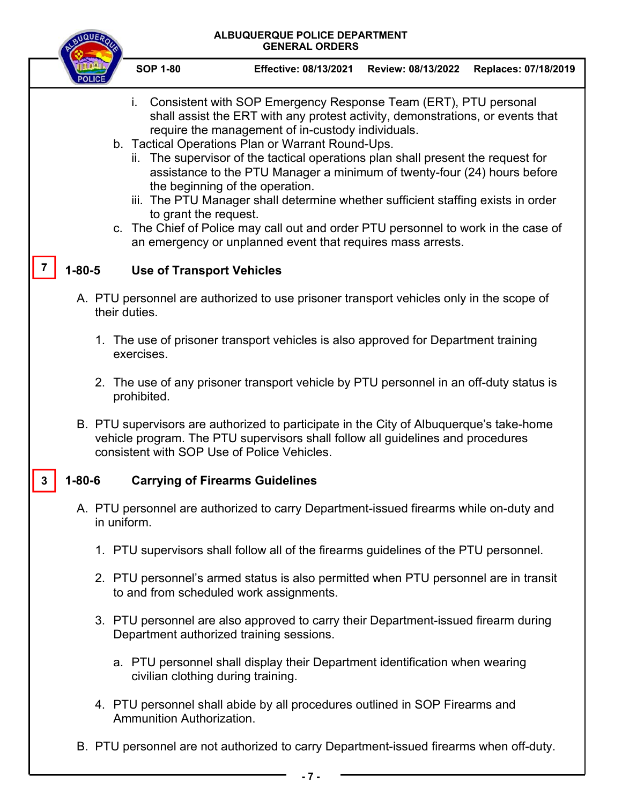